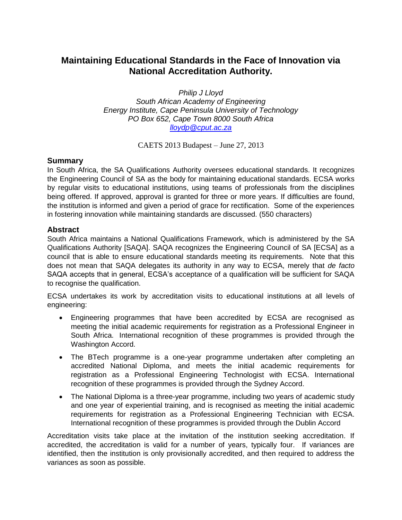## **Maintaining Educational Standards in the Face of Innovation via National Accreditation Authority.**

*Philip J Lloyd South African Academy of Engineering Energy Institute, Cape Peninsula University of Technology PO Box 652, Cape Town 8000 South Africa [lloydp@cput.ac.za](mailto:lloydp@cput.ac.za)*

CAETS 2013 Budapest – June 27, 2013

## **Summary**

In South Africa, the SA Qualifications Authority oversees educational standards. It recognizes the Engineering Council of SA as the body for maintaining educational standards. ECSA works by regular visits to educational institutions, using teams of professionals from the disciplines being offered. If approved, approval is granted for three or more years. If difficulties are found, the institution is informed and given a period of grace for rectification. Some of the experiences in fostering innovation while maintaining standards are discussed. (550 characters)

## **Abstract**

South Africa maintains a National Qualifications Framework, which is administered by the SA Qualifications Authority [SAQA]. SAQA recognizes the Engineering Council of SA [ECSA] as a council that is able to ensure educational standards meeting its requirements. Note that this does not mean that SAQA delegates its authority in any way to ECSA, merely that *de facto* SAQA accepts that in general, ECSA's acceptance of a qualification will be sufficient for SAQA to recognise the qualification.

ECSA undertakes its work by accreditation visits to educational institutions at all levels of engineering:

- Engineering programmes that have been accredited by ECSA are recognised as meeting the initial academic requirements for registration as a Professional Engineer in South Africa. International recognition of these programmes is provided through the Washington Accord.
- The BTech programme is a one-year programme undertaken after completing an accredited National Diploma, and meets the initial academic requirements for registration as a Professional Engineering Technologist with ECSA. International recognition of these programmes is provided through the Sydney Accord.
- The National Diploma is a three-year programme, including two years of academic study and one year of experiential training, and is recognised as meeting the initial academic requirements for registration as a Professional Engineering Technician with ECSA. International recognition of these programmes is provided through the Dublin Accord

Accreditation visits take place at the invitation of the institution seeking accreditation. If accredited, the accreditation is valid for a number of years, typically four. If variances are identified, then the institution is only provisionally accredited, and then required to address the variances as soon as possible.